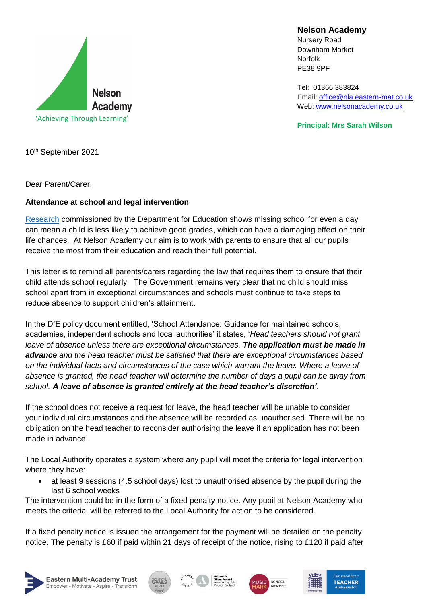

**Nelson Academy**

Nursery Road Downham Market Norfolk PE38 9PF

[Tel: 01366](tel:01366) 383824 Email: [office@nla.eastern-mat.co.uk](mailto:office@nla.eastern-mat.co.uk) Web: [www.nelsonacademy.co.uk](http://www.nelsonacademy.co.uk/)

**Principal: Mrs Sarah Wilson**

10th September 2021

Dear Parent/Carer,

## **Attendance at school and legal intervention**

[Research](https://www.gov.uk/government/publications/absence-and-attainment-at-key-stages-2-and-4-2013-to-2014) commissioned by the Department for Education shows missing school for even a day can mean a child is less likely to achieve good grades, which can have a damaging effect on their life chances. At Nelson Academy our aim is to work with parents to ensure that all our pupils receive the most from their education and reach their full potential.

This letter is to remind all parents/carers regarding the law that requires them to ensure that their child attends school regularly. The Government remains very clear that no child should miss school apart from in exceptional circumstances and schools must continue to take steps to reduce absence to support children's attainment.

In the DfE policy document entitled, 'School Attendance: Guidance for maintained schools, academies, independent schools and local authorities' it states, '*Head teachers should not grant leave of absence unless there are exceptional circumstances. The application must be made in advance and the head teacher must be satisfied that there are exceptional circumstances based on the individual facts and circumstances of the case which warrant the leave. Where a leave of absence is granted, the head teacher will determine the number of days a pupil can be away from school. A leave of absence is granted entirely at the head teacher's discretion'*.

If the school does not receive a request for leave, the head teacher will be unable to consider your individual circumstances and the absence will be recorded as unauthorised. There will be no obligation on the head teacher to reconsider authorising the leave if an application has not been made in advance.

The Local Authority operates a system where any pupil will meet the criteria for legal intervention where they have:

• at least 9 sessions (4.5 school days) lost to unauthorised absence by the pupil during the last 6 school weeks

The intervention could be in the form of a fixed penalty notice. Any pupil at Nelson Academy who meets the criteria, will be referred to the Local Authority for action to be considered.

If a fixed penalty notice is issued the arrangement for the payment will be detailed on the penalty notice. The penalty is £60 if paid within 21 days of receipt of the notice, rising to £120 if paid after